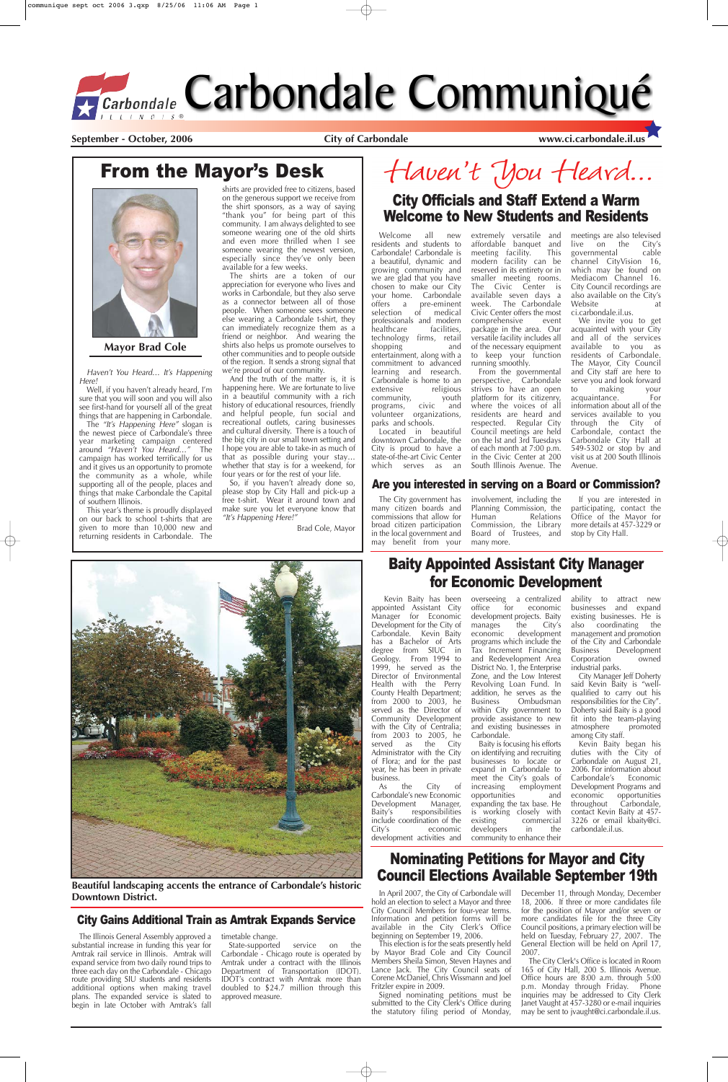## Nominating Petitions for Mayor and City **Council Elections Available September 19th** Beautiful landscaping accents the entrance of Carbondale's historic

## From the Mayor's Desk

**Downtown District.**

#### City Gains Additional Train as Amtrak Expands Service

downtown Carbondale, the City is proud to have a state-of-the-art Civic Center<br>which serves as an which serves as

Welcome all new residents and students to Carbondale! Carbondale is a beautiful, dynamic and growing community and we are glad that you have chosen to make our City your home. Carbondale offers a pre-eminent<br>selection of medical selection of professionals and modern<br>healthcare facilities, healthcare technology firms, retail<br>shopping and  $shopping$ entertainment, along with a commitment to advanced learning and research. Carbondale is home to an<br>extensive religious extensive religious<br>community, youth community,<br>programs, civic programs, civic and volunteer organizations, parks and schools. Located in beautiful

extremely versatile and affordable banquet and<br>meeting facility. This meeting facility. modern facility can be reserved in its entirety or in smaller meeting rooms. The Civic Center is available seven days a week. The Carbondale Civic Center offers the most comprehensive package in the area. Our versatile facility includes all of the necessary equipment to keep your function running smoothly.

Well, if you haven't already heard, I'm sure that you will soon and you will also see first-hand for yourself all of the great things that are happening in Carbondale.

From the governmental perspective, Carbondale strives to have an open platform for its citizenry, where the voices of all residents are heard and respected. Regular City Council meetings are held on the lst and 3rd Tuesdays of each month at 7:00 p.m. in the Civic Center at 200 South Illinois Avenue. The

meetings are also televised live on the City's<br>governmental cable governmental channel CityVision 16, which may be found on Mediacom Channel 16. City Council recordings are also available on the City's Website at ci.carbondale.il.us.

We invite you to get acquainted with your City and all of the services available to you as residents of Carbondale. The Mayor, City Council and City staff are here to serve you and look forward to making your acquaintance. For information about all of the services available to you through the City of Carbondale, contact the Carbondale City Hall at 549-5302 or stop by and visit us at 200 South Illinois Avenue.

And the truth of the matter is, it is happening here. We are fortunate to live in a beautiful community with a rich history of educational resources, friendly and helpful people, fun social and recreational outlets, caring businesses and cultural diversity. There is a touch of the big city in our small town setting and I hope you are able to take-in as much of that as possible during your stay… whether that stay is for a weekend, for four years or for the rest of your life.

## City Officials and Staff Extend a Warm Welcome to New Students and Residents

Haven't You Heard… It's Happening Here!

> of Flora; and for the past year, he has been in private business.<br>As the

The "It's Happening Here" slogan is the newest piece of Carbondale's three year marketing campaign centered around "Haven't You Heard…" The campaign has worked terrifically for us and it gives us an opportunity to promote the community as a whole, while supporting all of the people, places and things that make Carbondale the Capital of southern Illinois.

> overseeing a centralized<br>office for economic for economic development projects. Baity<br>manages the City's manages<br>economic development programs which include the Tax Increment Financing and Redevelopment Area District No. 1, the Enterprise Zone, and the Low Interest Revolving Loan Fund. In addition, he serves as the Business Ombudsman within City government to provide assistance to new and existing businesses in Carbondale.

This year's theme is proudly displayed on our back to school t-shirts that are given to more than 10,000 new and returning residents in Carbondale. The

> City Manager Jeff Doherty said Kevin Baity is "wellqualified to carry out his responsibilities for the City". Doherty said Baity is a good fit into the team-playing atmosphere promoted among City staff.

shirts are provided free to citizens, based on the generous support we receive from the shirt sponsors, as a way of saying "thank you" for being part of this community. I am always delighted to see someone wearing one of the old shirts and even more thrilled when I see someone wearing the newest version, especially since they've only been available for a few weeks.

The shirts are a token of our appreciation for everyone who lives and works in Carbondale, but they also serve as a connector between all of those people. When someone sees someone else wearing a Carbondale t-shirt, they can immediately recognize them as a friend or neighbor. And wearing the shirts also helps us promote ourselves to other communities and to people outside of the region. It sends a strong signal that we're proud of our community.

So, if you haven't already done so, please stop by City Hall and pick-up a free t-shirt. Wear it around town and make sure you let everyone know that "It's Happening Here!"

Brad Cole, Mayor

## Haven't You Heard...



**Mayor Brad Cole**

#### Are you interested in serving on a Board or Commission?

Kevin Baity has been appointed Assistant City Manager for Economic Development for the City of Carbondale. Kevin Baity has a Bachelor of Arts degree from SIUC in Geology. From 1994 to 1999, he served as the Director of Environmental Health with the Perry County Health Department; from 2000 to 2003, he served as the Director of Community Development with the City of Centralia; from 2003 to 2005, he served as the City Administrator with the City

As the City of Carbondale's new Economic Development Manager,<br>Baity's responsibilities responsibilities include coordination of the<br>City's economic economic development activities and

Baity is focusing his efforts on identifying and recruiting

businesses to locate or expand in Carbondale to meet the City's goals of increasing employment opportunities and expanding the tax base. He is working closely with existing commercial<br>developers in the developers community to enhance their

ability to attract new businesses and expand existing businesses. He is also coordinating the management and promotion of the City and Carbondale Development Corporation owned industrial parks.

Kevin Baity began his duties with the City of

Carbondale on August 21, 2006. For information about<br>Carbondale's Economic Carbondale's Development Programs and economic opportunities<br>throughout Carbondale, Carbondale, contact Kevin Baity at 457- 3226 or email kbaity@ci. carbondale.il.us.

## Baity Appointed Assistant City Manager for Economic Development

The City government has many citizen boards and commissions that allow for broad citizen participation in the local government and may benefit from your involvement, including the Planning Commission, the<br>Human Relations Relations Commission, the Library Board of Trustees, and many more.

If you are interested in participating, contact the Office of the Mayor for more details at 457-3229 or stop by City Hall.



In April 2007, the City of Carbondale will hold an election to select a Mayor and three City Council Members for four-year terms. Information and petition forms will be available in the City Clerk's Office beginning on September 19, 2006.

This election is for the seats presently held by Mayor Brad Cole and City Council Members Sheila Simon, Steven Haynes and Lance Jack. The City Council seats of Corene McDaniel, Chris Wissmann and Joel Fritzler expire in 2009.

Signed nominating petitions must be submitted to the City Clerk's Office during the statutory filing period of Monday, December 11, through Monday, December 18, 2006. If three or more candidates file for the position of Mayor and/or seven or more candidates file for the three City Council positions, a primary election will be held on Tuesday, February 27, 2007. The General Election will be held on April 17, 2007.

The City Clerk's Office is located in Room 165 of City Hall, 200 S. Illinois Avenue. Office hours are 8:00 a.m. through 5:00 p.m. Monday through Friday. Phone inquiries may be addressed to City Clerk Janet Vaught at 457-3280 or e-mail inquiries may be sent to jvaught@ci.carbondale.il.us.

The Illinois General Assembly approved a substantial increase in funding this year for Amtrak rail service in Illinois. Amtrak will expand service from two daily round trips to three each day on the Carbondale - Chicago route providing SIU students and residents additional options when making travel plans. The expanded service is slated to begin in late October with Amtrak's fall

timetable change.

State-supported service on the Carbondale - Chicago route is operated by Amtrak under a contract with the Illinois Department of Transportation (IDOT). IDOT's contract with Amtrak more than doubled to \$24.7 million through this approved measure.

# *<u> Garbondale</u>* Carbondale Communiqué

September - October, 2006 **City of Carbondale matter of Carbondale matter www.ci.carbondale.il.us**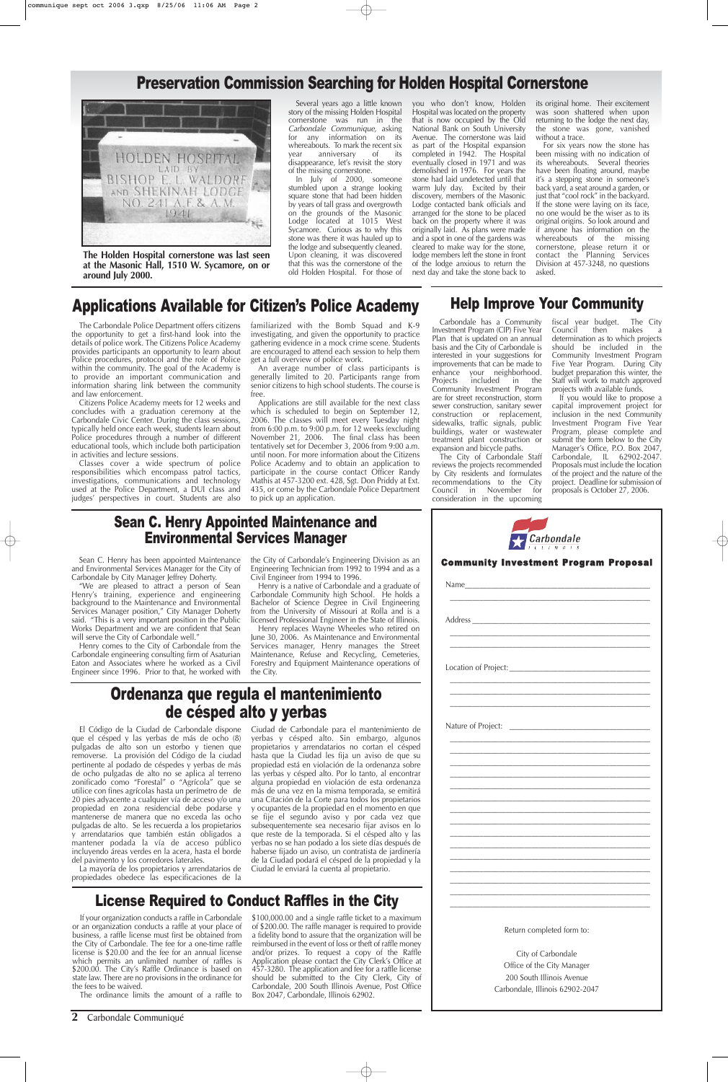**2** Carbondale Communiqué

## License Required to Conduct Raffles in the City

## Preservation Commission Searching for Holden Hospital Cornerstone



If your organization conducts a raffle in Carbondale or an organization conducts a raffle at your place of business, a raffle license must first be obtained from the City of Carbondale. The fee for a one-time raffle license is \$20.00 and the fee for an annual license which permits an unlimited number of raffles is \$200.00. The City's Raffle Ordinance is based on state law. There are no provisions in the ordinance for the fees to be waived.

The ordinance limits the amount of a raffle to

\$100,000.00 and a single raffle ticket to a maximum of \$200.00. The raffle manager is required to provide a fidelity bond to assure that the organization will be reimbursed in the event of loss or theft of raffle money and/or prizes. To request a copy of the Raffle Application please contact the City Clerk's Office at 457-3280. The application and fee for a raffle license should be submitted to the City Clerk, City of Carbondale, 200 South Illinois Avenue, Post Office Box 2047, Carbondale, Illinois 62902.

Ordenanza que regula el mantenimiento de césped alto y yerbas

El Código de la Ciudad de Carbondale dispone - Ciudad de Carbondale para el mantenimiento de propietarios y arrendatarios no cortan el césped hasta que la Ciudad les fija un aviso de que su propiedad está en violación de la ordenanza sobre las yerbas y césped alto. Por lo tanto, al encontrar alguna propiedad en violación de esta ordenanza más de una vez en la misma temporada, se emitirá una Citación de la Corte para todos los propietarios y ocupantes de la propiedad en el momento en que se fije el segundo aviso y por cada vez que subsequentemente sea necesario fijar avisos en lo que reste de la temporada. Si el césped alto y las yerbas no se han podado a los siete días después de haberse fijado un aviso, un contratista de jardinería de la Ciudad podará el césped de la propiedad y la Ciudad le enviará la cuenta al propietario.

que el césped y las yerbas de más de ocho (8) yerbas y césped alto. Sin embargo, algunos pulgadas de alto son un estorbo y tienen que removerse. La provisión del Código de la ciudad pertinente al podado de céspedes y yerbas de más de ocho pulgadas de alto no se aplica al terreno zonificado como "Forestal" o "Agrícola" que se utilice con fines agrícolas hasta un perímetro de de 20 pies adyacente a cualquier vía de acceso y/o una propiedad en zona residencial debe podarse y mantenerse de manera que no exceda las ocho pulgadas de alto. Se les recuerda a los propietarios y arrendatarios que también están obligados a mantener podada la vía de acceso público incluyendo áreas verdes en la acera, hasta el borde del pavimento y los corredores laterales.

La mayoría de los propietarios y arrendatarios de propiedades obedece las especificaciones de la

"We are pleased to attract a person of Sean Henry's training, experience and engineering background to the Maintenance and Environmental Services Manager position," City Manager Doherty said. "This is a very important position in the Public Works Department and we are confident that Sean will serve the City of Carbondale well."

| $\sum$ Carbondale |  |  |                                              |  |  |
|-------------------|--|--|----------------------------------------------|--|--|
|                   |  |  | <b>Community Investment Program Proposal</b> |  |  |
|                   |  |  |                                              |  |  |
|                   |  |  |                                              |  |  |
|                   |  |  |                                              |  |  |
|                   |  |  |                                              |  |  |
|                   |  |  |                                              |  |  |

\_\_\_\_\_\_\_\_\_\_\_\_\_\_\_\_\_\_\_\_\_\_\_\_\_\_\_\_\_\_\_\_\_\_\_\_\_\_\_\_\_\_\_\_\_\_\_\_\_\_\_\_\_\_ \_\_\_\_\_\_\_\_\_\_\_\_\_\_\_\_\_\_\_\_\_\_\_\_\_\_\_\_\_\_\_\_\_\_\_\_\_\_\_\_\_\_\_\_\_\_\_\_\_\_\_\_\_\_ \_\_\_\_\_\_\_\_\_\_\_\_\_\_\_\_\_\_\_\_\_\_\_\_\_\_\_\_\_\_\_\_\_\_\_\_\_\_\_\_\_\_\_\_\_\_\_\_\_\_\_\_\_\_ \_\_\_\_\_\_\_\_\_\_\_\_\_\_\_\_\_\_\_\_\_\_\_\_\_\_\_\_\_\_\_\_\_\_\_\_\_\_\_\_\_\_\_\_\_\_\_\_\_\_\_\_\_\_ \_\_\_\_\_\_\_\_\_\_\_\_\_\_\_\_\_\_\_\_\_\_\_\_\_\_\_\_\_\_\_\_\_\_\_\_\_\_\_\_\_\_\_\_\_\_\_\_\_\_\_\_\_\_ \_\_\_\_\_\_\_\_\_\_\_\_\_\_\_\_\_\_\_\_\_\_\_\_\_\_\_\_\_\_\_\_\_\_\_\_\_\_\_\_\_\_\_\_\_\_\_\_\_\_\_\_\_\_ \_\_\_\_\_\_\_\_\_\_\_\_\_\_\_\_\_\_\_\_\_\_\_\_\_\_\_\_\_\_\_\_\_\_\_\_\_\_\_\_\_\_\_\_\_\_\_\_\_\_\_\_\_\_ \_\_\_\_\_\_\_\_\_\_\_\_\_\_\_\_\_\_\_\_\_\_\_\_\_\_\_\_\_\_\_\_\_\_\_\_\_\_\_\_\_\_\_\_\_\_\_\_\_\_\_\_\_\_ \_\_\_\_\_\_\_\_\_\_\_\_\_\_\_\_\_\_\_\_\_\_\_\_\_\_\_\_\_\_\_\_\_\_\_\_\_\_\_\_\_\_\_\_\_\_\_\_\_\_\_\_\_\_ \_\_\_\_\_\_\_\_\_\_\_\_\_\_\_\_\_\_\_\_\_\_\_\_\_\_\_\_\_\_\_\_\_\_\_\_\_\_\_\_\_\_\_\_\_\_\_\_\_\_\_\_\_\_ \_\_\_\_\_\_\_\_\_\_\_\_\_\_\_\_\_\_\_\_\_\_\_\_\_\_\_\_\_\_\_\_\_\_\_\_\_\_\_\_\_\_\_\_\_\_\_\_\_\_\_\_\_\_ \_\_\_\_\_\_\_\_\_\_\_\_\_\_\_\_\_\_\_\_\_\_\_\_\_\_\_\_\_\_\_\_\_\_\_\_\_\_\_\_\_\_\_\_\_\_\_\_\_\_\_\_\_\_ \_\_\_\_\_\_\_\_\_\_\_\_\_\_\_\_\_\_\_\_\_\_\_\_\_\_\_\_\_\_\_\_\_\_\_\_\_\_\_\_\_\_\_\_\_\_\_\_\_\_\_\_\_\_

In July of 2000, someone stumbled upon a strange looking square stone that had been hidden by years of tall grass and overgrowth on the grounds of the Masonic Lodge located at 1015 West Sycamore. Curious as to why this stone was there it was hauled up to the lodge and subsequently cleaned. Upon cleaning, it was discovered that this was the cornerstone of the old Holden Hospital. For those of

Return completed form to:

City of Carbondale Office of the City Manager 200 South Illinois Avenue Carbondale, Illinois 62902-2047

**The Holden Hospital cornerstone was last seen at the Masonic Hall, 1510 W. Sycamore, on or around July 2000.**

### Sean C. Henry Appointed Maintenance and Environmental Services Manager

Sean C. Henry has been appointed Maintenance and Environmental Services Manager for the City of Carbondale by City Manager Jeffrey Doherty.

Henry comes to the City of Carbondale from the Carbondale engineering consulting firm of Asaturian Eaton and Associates where he worked as a Civil Engineer since 1996. Prior to that, he worked with

the City of Carbondale's Engineering Division as an Engineering Technician from 1992 to 1994 and as a Civil Engineer from 1994 to 1996.

Henry is a native of Carbondale and a graduate of Carbondale Community high School. He holds a Bachelor of Science Degree in Civil Engineering from the University of Missouri at Rolla and is a licensed Professional Engineer in the State of Illinois.

Henry replaces Wayne Wheeles who retired on June 30, 2006. As Maintenance and Environmental Services manager, Henry manages the Street Maintenance, Refuse and Recycling, Cemeteries, Forestry and Equipment Maintenance operations of the City.

## Applications Available for Citizen's Police Academy

The Carbondale Police Department offers citizens the opportunity to get a first-hand look into the details of police work. The Citizens Police Academy provides participants an opportunity to learn about Police procedures, protocol and the role of Police within the community. The goal of the Academy is to provide an important communication and information sharing link between the community and law enforcement.

Citizens Police Academy meets for 12 weeks and concludes with a graduation ceremony at the Carbondale Civic Center. During the class sessions, typically held once each week, students learn about Police procedures through a number of different educational tools, which include both participation in activities and lecture sessions.

Classes cover a wide spectrum of police responsibilities which encompass patrol tactics, investigations, communications and technology used at the Police Department, a DUI class and judges' perspectives in court. Students are also familiarized with the Bomb Squad and K-9 investigating, and given the opportunity to practice gathering evidence in a mock crime scene. Students are encouraged to attend each session to help them get a full overview of police work.

An average number of class participants is generally limited to 20. Participants range from senior citizens to high school students. The course is free.

Applications are still available for the next class which is scheduled to begin on September 12, 2006. The classes will meet every Tuesday night from 6:00 p.m. to 9:00 p.m. for 12 weeks (excluding November 21, 2006. The final class has been tentatively set for December 3, 2006 from 9:00 a.m. until noon. For more information about the Citizens Police Academy and to obtain an application to participate in the course contact Officer Randy Mathis at 457-3200 ext. 428, Sgt. Don Priddy at Ext. 435, or come by the Carbondale Police Department to pick up an application.

Several years ago a little known story of the missing Holden Hospital cornerstone was run in the Carbondale Communique, asking for any information on its whereabouts. To mark the recent six<br>vear anniversary of its anniversary of its disappearance, let's revisit the story of the missing cornerstone.

you who don't know, Holden Hospital was located on the property that is now occupied by the Old National Bank on South University Avenue. The cornerstone was laid as part of the Hospital expansion completed in 1942. The Hospital eventually closed in 1971 and was demolished in 1976. For years the stone had laid undetected until that warm July day. Excited by their discovery, members of the Masonic Lodge contacted bank officials and arranged for the stone to be placed back on the property where it was originally laid. As plans were made and a spot in one of the gardens was cleared to make way for the stone, lodge members left the stone in front of the lodge anxious to return the next day and take the stone back to

its original home. Their excitement was soon shattered when upon returning to the lodge the next day, the stone was gone, vanished without a trace.

For six years now the stone has been missing with no indication of its whereabouts. Several theories have been floating around, maybe it's a stepping stone in someone's back yard, a seat around a garden, or just that "cool rock" in the backyard. If the stone were laying on its face, no one would be the wiser as to its original origins. So look around and if anyone has information on the whereabouts of the missing cornerstone, please return it or contact the Planning Services Division at 457-3248, no questions asked.

### Help Improve Your Community

Carbondale has a Community Investment Program (CIP) Five Year Plan that is updated on an annual basis and the City of Carbondale is interested in your suggestions for improvements that can be made to enhance your neighborhood. Projects included in the Community Investment Program are for street reconstruction, storm sewer construction, sanitary sewer construction or replacement, sidewalks, traffic signals, public buildings, water or wastewater treatment plant construction or expansion and bicycle paths.

The City of Carbondale Staff reviews the projects recommended by City residents and formulates recommendations to the City<br>Council in November for Council in November consideration in the upcoming fiscal year budget. The City Council then makes determination as to which projects should be included in the Community Investment Program Five Year Program. During City budget preparation this winter, the Staff will work to match approved projects with available funds.

If you would like to propose a capital improvement project for inclusion in the next Community Investment Program Five Year Program, please complete and submit the form below to the City Manager's Office, P.O. Box 2047, Carbondale, IL 62902-2047. Proposals must include the location of the project and the nature of the project. Deadline for submission of proposals is October 27, 2006.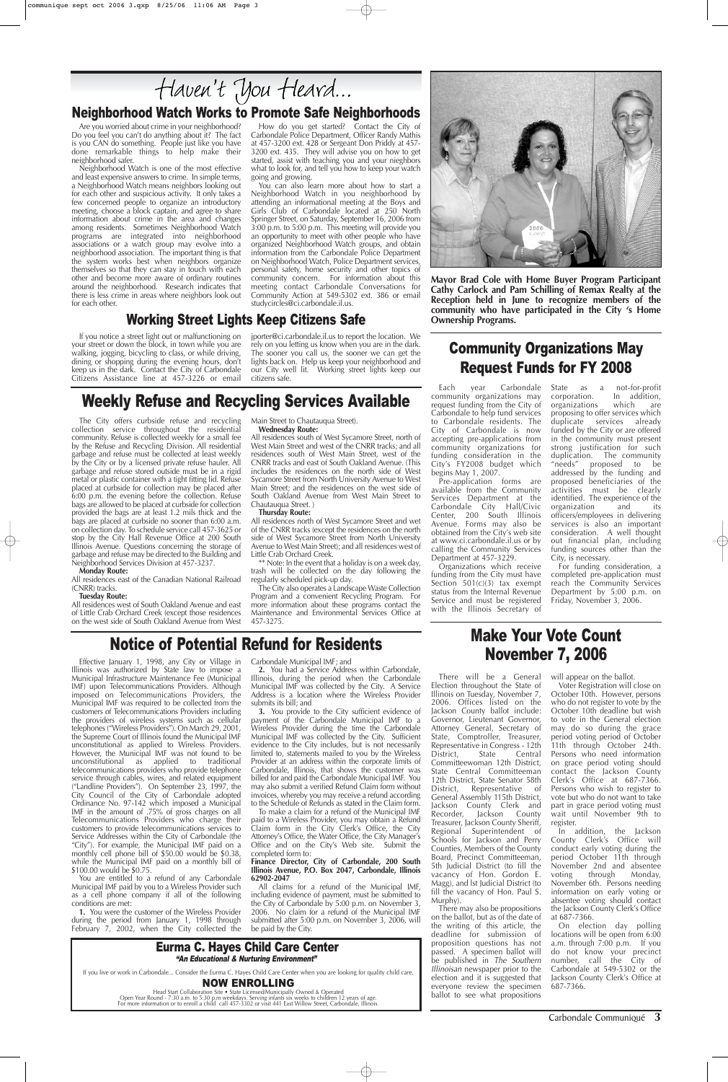Effective January 1, 1998, any City or Village in Illinois was authorized by State law to impose a Municipal Infrastructure Maintenance Fee (Municipal IMF) upon Telecommunications Providers. Although imposed on Telecommunications Providers, the Municipal IMF was required to be collected from the customers of Telecommunications Providers including the providers of wireless systems such as cellular telephones ("Wireless Providers"). On March 29, 2001, the Supreme Court of Illinois found the Municipal IMF unconstitutional as applied to Wireless Providers. However, the Municipal IMF was not found to be unconstitutional as applied to traditional telecommunications providers who provide telephone service through cables, wires, and related equipment ("Landline Providers"). On September 23, 1997, the City Council of the City of Carbondale adopted Ordinance No. 97-142 which imposed a Municipal IMF in the amount of .75% of gross charges on all Telecommunications Providers who charge their customers to provide telecommunications services to Service Addresses within the City of Carbondale (the "City"). For example, the Municipal IMF paid on a monthly cell phone bill of \$50.00 would be \$0.38, while the Municipal IMF paid on a monthly bill of \$100.00 would be \$0.75.

You are entitled to a refund of any Carbondale Municipal IMF paid by you to a Wireless Provider such as a cell phone company if all of the following conditions are met:

**1.** You were the customer of the Wireless Provider during the period from January 1, 1998 through February 7, 2002, when the City collected the Carbondale Municipal IMF; and

There will be a General Election throughout the State of Illinois on Tuesday, November 7, 2006. Offices listed on the Jackson County ballot include: Governor, Lieutenant Governor, Attorney General, Secretary of State, Comptroller, Treasurer, Representative in Congress - 12th<br>District, State Central State Central

**2.** You had a Service Address within Carbondale, Illinois, during the period when the Carbondale Municipal IMF was collected by the City. A Service Address is a location where the Wireless Provider submits its bill; and

**3.** You provide to the City sufficient evidence of payment of the Carbondale Municipal IMF to a Wireless Provider during the time the Carbondale Municipal IMF was collected by the City. Sufficient evidence to the City includes, but is not necessarily limited to, statements mailed to you by the Wireless Provider at an address within the corporate limits of Carbondale, Illinois, that shows the customer was billed for and paid the Carbondale Municipal IMF. You may also submit a verified Refund Claim form without invoices, whereby you may receive a refund according to the Schedule of Refunds as stated in the Claim form. To make a claim for a refund of the Municipal IMF paid to a Wireless Provider, you may obtain a Refund Claim form in the City Clerk's Office, the City Attorney's Office, the Water Office, the City Manager's Office and on the City's Web site. Submit the completed form to:

#### **Finance Director, City of Carbondale, 200 South Illinois Avenue, P.O. Box 2047, Carbondale, Illinois 62902-2047**

All claims for a refund of the Municipal IMF, including evidence of payment, must be submitted to the City of Carbondale by 5:00 p.m. on November 3, 2006. No claim for a refund of the Municipal IMF submitted after 5:00 p.m. on November 3, 2006, will be paid by the City.

Pre-application forms are available from the Community Services Department at the Carbondale City Hall/Civic Center, 200 South Illinois Avenue. Forms may also be obtained from the City's web site at www.ci.carbondale.il.us or by calling the Community Services Department at 457-3229.

Carbondale Communiqué **3**

### Neighborhood Watch Works to Promote Safe Neighborhoods

## Notice of Potential Refund for Residents Make Your Vote Count

## November 7, 2006

State as a not-for-profit<br>corporation. In addition, In addition,<br>which are organizations which are proposing to offer services which duplicate services already funded by the City or are offered in the community must present strong justification for such duplication. The community<br>"needs" proposed to be proposed to be addressed by the funding and proposed beneficiaries of the activities must be clearly identified. The experience of the<br>organization and its organization and its officers/employees in delivering services is also an important consideration. A well thought out financial plan, including funding sources other than the City, is necessary.

Committeewoman 12th District, State Central Committeeman 12th District, State Senator 58th District, Representative of General Assembly 115th District, Jackson County Clerk and<br>Recorder, Jackson County Jackson County Treasurer, Jackson County Sheriff, Regional Superintendent of Schools for Jackson and Perry Counties, Members of the County Board, Precinct Committeeman, 5th Judicial District (to fill the vacancy of Hon. Gordon E. Magg), and lst Judicial District (to fill the vacancy of Hon. Paul S. Murphy).

There may also be propositions on the ballot, but as of the date of the writing of this article, the deadline for submission of proposition questions has not passed. A specimen ballot will be published in The Southern Illinoisan newspaper prior to the election and it is suggested that everyone review the specimen ballot to see what propositions

will appear on the ballot.

Voter Registration will close on October 10th. However, persons who do not register to vote by the October 10th deadline but wish to vote in the General election may do so during the grace period voting period of October 11th through October 24th. Persons who need information on grace period voting should contact the Jackson County Clerk's Office at 687-7366. Persons who wish to register to vote but who do not want to take part in grace period voting must wait until November 9th to register. In addition, the Jackson County Clerk's Office will conduct early voting during the period October 11th through November 2nd and absentee voting through Monday, November 6th. Persons needing information on early voting or absentee voting should contact the Jackson County Clerk's Office at 687-7366. On election day polling locations will be open from 6:00 a.m. through 7:00 p.m. If you do not know your precinct number, call the City of Carbondale at 549-5302 or the Jackson County Clerk's Office at 687-7366.

## Weekly Refuse and Recycling Services Available

**Mayor Brad Cole with Home Buyer Program Participant Cathy Carlock and Pam Schilling of Remax Realty at the Reception held in June to recognize members of the community who have participated in the City 's Home Ownership Programs.**

## Community Organizations May Request Funds for FY 2008

Each year Carbondale community organizations may request funding from the City of Carbondale to help fund services to Carbondale residents. The City of Carbondale is now accepting pre-applications from community organizations for funding consideration in the City's FY2008 budget which begins May 1, 2007.

All residences south of West Sycamore Street, north of West Main Street and west of the CNRR tracks; and all residences south of West Main Street, west of the CNRR tracks and east of South Oakland Avenue. (This includes the residences on the north side of West Sycamore Street from North University Avenue to West Main Street; and the residences on the west side of South Oakland Avenue from West Main Street to Chautauqua Street. )

> Organizations which receive funding from the City must have Section 501(c)(3) tax exempt status from the Internal Revenue Service and must be registered with the Illinois Secretary of

For funding consideration, a completed pre-application must reach the Community Services Department by 5:00 p.m. on Friday, November 3, 2006.

If you live or work in Carbondale... Consider the Eurma C. Hayes Child Care Center when you are looking for quality child care.

#### NOW ENROLLING

#### Eurma C. Hayes Child Care Center "An Educational & Nurturing Environment"

Head Start Collaboration Site • State Licensed/Municipally Owned & Operated Open Year Round - 7:30 a.m. to 5:30 p.m weekdays. Serving infants six weeks to children 12 years of age. For more information or to enroll a child call 457-3302 or visit 441 East Willow Street, Carbondale, Illinois.

Are you worried about crime in your neighborhood? Do you feel you can't do anything about it? The fact is you CAN do something. People just like you have done remarkable things to help make their neighborhood safer.

Neighborhood Watch is one of the most effective and least expensive answers to crime. In simple terms, a Neighborhood Watch means neighbors looking out for each other and suspicious activity. It only takes a few concerned people to organize an introductory meeting, choose a block captain, and agree to share information about crime in the area and changes among residents. Sometimes Neighborhood Watch programs are integrated into neighborhood associations or a watch group may evolve into a neighborhood association. The important thing is that the system works best when neighbors organize themselves so that they can stay in touch with each other and become more aware of ordinary routines around the neighborhood. Research indicates that there is less crime in areas where neighbors look out for each other.

How do you get started? Contact the City of Carbondale Police Department, Officer Randy Mathis at 457-3200 ext. 428 or Sergeant Don Priddy at 457- 3200 ext. 435. They will advise you on how to get started, assist with teaching you and your nieghbors what to look for, and tell you how to keep your watch going and growing.

You can also learn more about how to start a Neighborhood Watch in you neighborhood by attending an informational meeting at the Boys and Girls Club of Carbondale located at 250 North Springer Street, on Saturday, September 16, 2006 from 3:00 p.m. to 5:00 p.m. This meeting will provide you an opportunity to meet with other people who have organized Neighborhood Watch groups, and obtain information from the Carbondale Police Department on Neighborhood Watch, Police Department services, personal safety, home security and other topics of community concern. For information about this meeting contact Carbondale Conversations for Community Action at 549-5302 ext. 386 or email studycircles@ci.carbondale.il.us.

### Working Street Lights Keep Citizens Safe

If you notice a street light out or malfunctioning on your street or down the block, in town while you are walking, jogging, bicycling to class, or while driving, dining or shopping during the evening hours, don't keep us in the dark. Contact the City of Carbondale Citizens Assistance line at 457-3226 or email

jporter@ci.carbondale.il.us to report the location. We rely on you letting us know when you are in the dark. The sooner you call us, the sooner we can get the lights back on. Help us keep your neighborhood and our City well lit. Working street lights keep our citizens safe.

The City offers curbside refuse and recycling collection service throughout the residential community. Refuse is collected weekly for a small fee by the Refuse and Recycling Division. All residential garbage and refuse must be collected at least weekly by the City or by a licensed private refuse hauler. All garbage and refuse stored outside must be in a rigid metal or plastic container with a tight fitting lid. Refuse placed at curbside for collection may be placed after 6:00 p.m. the evening before the collection. Refuse bags are allowed to be placed at curbside for collection provided the bags are at least 1.2 mils thick and the bags are placed at curbside no sooner than 6:00 a.m. on collection day. To schedule service call 457-3625 or stop by the City Hall Revenue Office at 200 South Illinois Avenue. Questions concerning the storage of garbage and refuse may be directed to the Building and Neighborhood Services Division at 457-3237.

#### **Monday Route:**

All residences east of the Canadian National Railroad (CNRR) tracks.

#### **Tuesday Route:**

All residences west of South Oakland Avenue and east of Little Crab Orchard Creek (except those residences on the west side of South Oakland Avenue from West Main Street to Chautauqua Street). **Wednesday Route:**

#### **Thursday Route:**

All residences north of West Sycamore Street and wet of the CNRR tracks (except the residences on the north side of West Sycamore Street from North University Avenue to West Main Street); and all residences west of Little Crab Orchard Creek.

\*\* Note: In the event that a holiday is on a week day, trash will be collected on the day following the regularly scheduled pick-up day.

The City also operates a Landscape Waste Collection Program and a convenient Recycling Program. For more information about these programs contact the Maintenance and Environmental Services Office at 457-3275.



## Haven't You Heard...